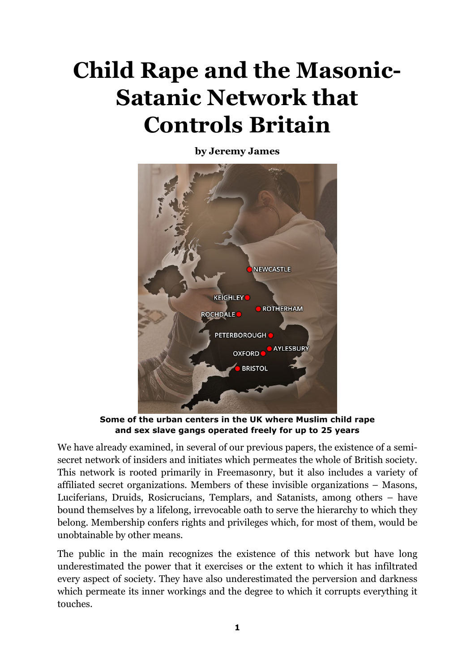# **Child Rape and the Masonic-Satanic Network that Controls Britain**

**by Jeremy James** 



**Some of the urban centers in the UK where Muslim child rape and sex slave gangs operated freely for up to 25 years** 

We have already examined, in several of our previous papers, the existence of a semisecret network of insiders and initiates which permeates the whole of British society. This network is rooted primarily in Freemasonry, but it also includes a variety of affiliated secret organizations. Members of these invisible organizations – Masons, Luciferians, Druids, Rosicrucians, Templars, and Satanists, among others – have bound themselves by a lifelong, irrevocable oath to serve the hierarchy to which they belong. Membership confers rights and privileges which, for most of them, would be unobtainable by other means.

The public in the main recognizes the existence of this network but have long underestimated the power that it exercises or the extent to which it has infiltrated every aspect of society. They have also underestimated the perversion and darkness which permeate its inner workings and the degree to which it corrupts everything it touches.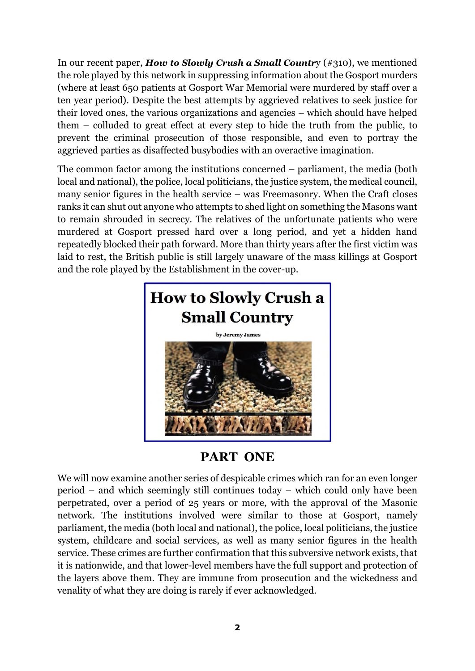In our recent paper, *How to Slowly Crush a Small Countr*y (#310), we mentioned the role played by this network in suppressing information about the Gosport murders (where at least 650 patients at Gosport War Memorial were murdered by staff over a ten year period). Despite the best attempts by aggrieved relatives to seek justice for their loved ones, the various organizations and agencies – which should have helped them – colluded to great effect at every step to hide the truth from the public, to prevent the criminal prosecution of those responsible, and even to portray the aggrieved parties as disaffected busybodies with an overactive imagination.

The common factor among the institutions concerned – parliament, the media (both local and national), the police, local politicians, the justice system, the medical council, many senior figures in the health service – was Freemasonry. When the Craft closes ranks it can shut out anyone who attempts to shed light on something the Masons want to remain shrouded in secrecy. The relatives of the unfortunate patients who were murdered at Gosport pressed hard over a long period, and yet a hidden hand repeatedly blocked their path forward. More than thirty years after the first victim was laid to rest, the British public is still largely unaware of the mass killings at Gosport and the role played by the Establishment in the cover-up.



## **PART ONE**

We will now examine another series of despicable crimes which ran for an even longer period – and which seemingly still continues today – which could only have been perpetrated, over a period of 25 years or more, with the approval of the Masonic network. The institutions involved were similar to those at Gosport, namely parliament, the media (both local and national), the police, local politicians, the justice system, childcare and social services, as well as many senior figures in the health service. These crimes are further confirmation that this subversive network exists, that it is nationwide, and that lower-level members have the full support and protection of the layers above them. They are immune from prosecution and the wickedness and venality of what they are doing is rarely if ever acknowledged.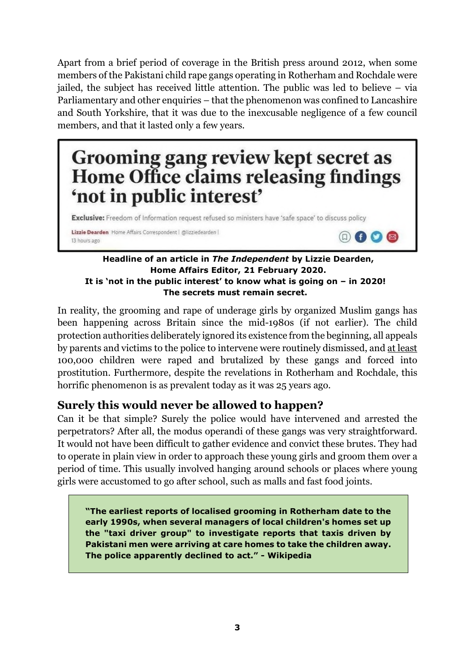Apart from a brief period of coverage in the British press around 2012, when some members of the Pakistani child rape gangs operating in Rotherham and Rochdale were jailed, the subject has received little attention. The public was led to believe – via Parliamentary and other enquiries – that the phenomenon was confined to Lancashire and South Yorkshire, that it was due to the inexcusable negligence of a few council members, and that it lasted only a few years.

## Grooming gang review kept secret as Home Office claims releasing findings 'not in public interest'

Exclusive: Freedom of Information request refused so ministers have 'safe space' to discuss policy

Lizzie Dearden Home Affairs Correspondent | @lizziedearden | 13 hours ago

#### **Headline of an article in** *The Independent* **by Lizzie Dearden, Home Affairs Editor, 21 February 2020. It is 'not in the public interest' to know what is going on – in 2020! The secrets must remain secret.**

 $f$   $\Omega$   $\otimes$ 

In reality, the grooming and rape of underage girls by organized Muslim gangs has been happening across Britain since the mid-1980s (if not earlier). The child protection authorities deliberately ignored its existence from the beginning, all appeals by parents and victims to the police to intervene were routinely dismissed, and at least 100,000 children were raped and brutalized by these gangs and forced into prostitution. Furthermore, despite the revelations in Rotherham and Rochdale, this horrific phenomenon is as prevalent today as it was 25 years ago.

## **Surely this would never be allowed to happen?**

Can it be that simple? Surely the police would have intervened and arrested the perpetrators? After all, the modus operandi of these gangs was very straightforward. It would not have been difficult to gather evidence and convict these brutes. They had to operate in plain view in order to approach these young girls and groom them over a period of time. This usually involved hanging around schools or places where young girls were accustomed to go after school, such as malls and fast food joints.

**"The earliest reports of localised grooming in Rotherham date to the early 1990s, when several managers of local children's homes set up the "taxi driver group" to investigate reports that taxis driven by Pakistani men were arriving at care homes to take the children away. The police apparently declined to act." - Wikipedia**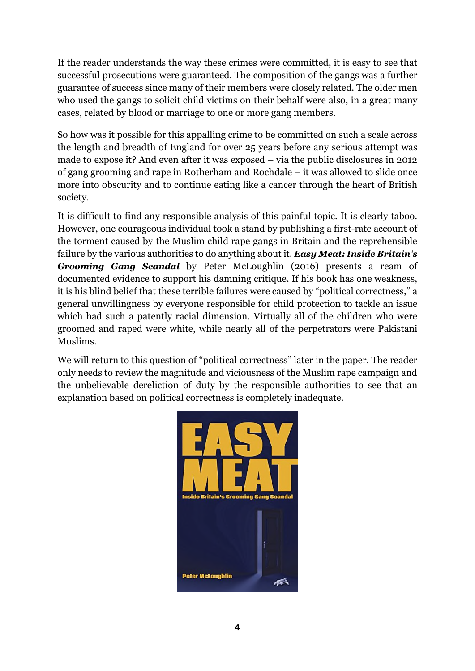If the reader understands the way these crimes were committed, it is easy to see that successful prosecutions were guaranteed. The composition of the gangs was a further guarantee of success since many of their members were closely related. The older men who used the gangs to solicit child victims on their behalf were also, in a great many cases, related by blood or marriage to one or more gang members.

So how was it possible for this appalling crime to be committed on such a scale across the length and breadth of England for over 25 years before any serious attempt was made to expose it? And even after it was exposed – via the public disclosures in 2012 of gang grooming and rape in Rotherham and Rochdale – it was allowed to slide once more into obscurity and to continue eating like a cancer through the heart of British society.

It is difficult to find any responsible analysis of this painful topic. It is clearly taboo. However, one courageous individual took a stand by publishing a first-rate account of the torment caused by the Muslim child rape gangs in Britain and the reprehensible failure by the various authorities to do anything about it. *Easy Meat: Inside Britain's Grooming Gang Scandal* by Peter McLoughlin (2016) presents a ream of documented evidence to support his damning critique. If his book has one weakness, it is his blind belief that these terrible failures were caused by "political correctness," a general unwillingness by everyone responsible for child protection to tackle an issue which had such a patently racial dimension. Virtually all of the children who were groomed and raped were white, while nearly all of the perpetrators were Pakistani Muslims.

We will return to this question of "political correctness" later in the paper. The reader only needs to review the magnitude and viciousness of the Muslim rape campaign and the unbelievable dereliction of duty by the responsible authorities to see that an explanation based on political correctness is completely inadequate.

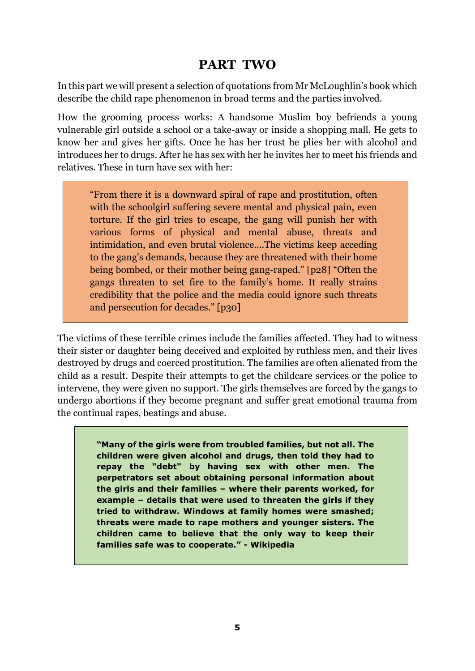## **PART TWO**

In this part we will present a selection of quotations from Mr McLoughlin's book which describe the child rape phenomenon in broad terms and the parties involved.

How the grooming process works: A handsome Muslim boy befriends a young vulnerable girl outside a school or a take-away or inside a shopping mall. He gets to know her and gives her gifts. Once he has her trust he plies her with alcohol and introduces her to drugs. After he has sex with her he invites her to meet his friends and relatives. These in turn have sex with her:

"From there it is a downward spiral of rape and prostitution, often with the schoolgirl suffering severe mental and physical pain, even torture. If the girl tries to escape, the gang will punish her with various forms of physical and mental abuse, threats and intimidation, and even brutal violence....The victims keep acceding to the gang's demands, because they are threatened with their home being bombed, or their mother being gang-raped." [p28] "Often the gangs threaten to set fire to the family's home. It really strains credibility that the police and the media could ignore such threats and persecution for decades." [p30]

The victims of these terrible crimes include the families affected. They had to witness their sister or daughter being deceived and exploited by ruthless men, and their lives destroyed by drugs and coerced prostitution. The families are often alienated from the child as a result. Despite their attempts to get the childcare services or the police to intervene, they were given no support. The girls themselves are forced by the gangs to undergo abortions if they become pregnant and suffer great emotional trauma from the continual rapes, beatings and abuse.

> **"Many of the girls were from troubled families, but not all. The children were given alcohol and drugs, then told they had to repay the "debt" by having sex with other men. The perpetrators set about obtaining personal information about the girls and their families – where their parents worked, for example – details that were used to threaten the girls if they tried to withdraw. Windows at family homes were smashed; threats were made to rape mothers and younger sisters. The children came to believe that the only way to keep their families safe was to cooperate." - Wikipedia**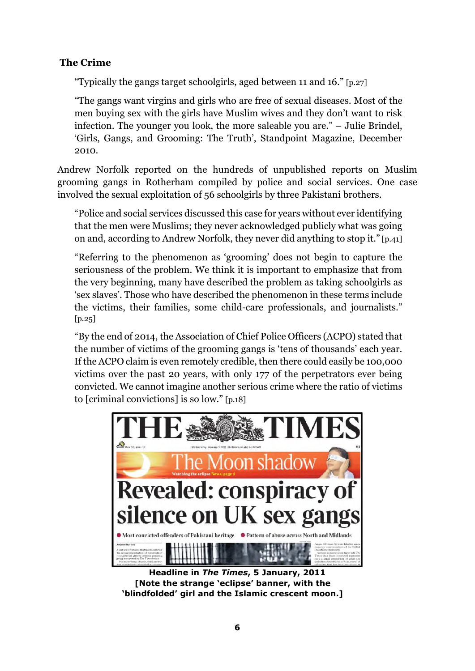#### **The Crime**

"Typically the gangs target schoolgirls, aged between 11 and 16." [p.27]

"The gangs want virgins and girls who are free of sexual diseases. Most of the men buying sex with the girls have Muslim wives and they don't want to risk infection. The younger you look, the more saleable you are." – Julie Brindel, 'Girls, Gangs, and Grooming: The Truth', Standpoint Magazine, December 2010.

Andrew Norfolk reported on the hundreds of unpublished reports on Muslim grooming gangs in Rotherham compiled by police and social services. One case involved the sexual exploitation of 56 schoolgirls by three Pakistani brothers.

"Police and social services discussed this case for years without ever identifying that the men were Muslims; they never acknowledged publicly what was going on and, according to Andrew Norfolk, they never did anything to stop it." [p.41]

"Referring to the phenomenon as 'grooming' does not begin to capture the seriousness of the problem. We think it is important to emphasize that from the very beginning, many have described the problem as taking schoolgirls as 'sex slaves'. Those who have described the phenomenon in these terms include the victims, their families, some child-care professionals, and journalists."  $[p.25]$ 

"By the end of 2014, the Association of Chief Police Officers (ACPO) stated that the number of victims of the grooming gangs is 'tens of thousands' each year. If the ACPO claim is even remotely credible, then there could easily be 100,000 victims over the past 20 years, with only 177 of the perpetrators ever being convicted. We cannot imagine another serious crime where the ratio of victims to [criminal convictions] is so low." [p.18]



**Headline in** *The Times***, 5 January, 2011 [Note the strange 'eclipse' banner, with the 'blindfolded' girl and the Islamic crescent moon.]**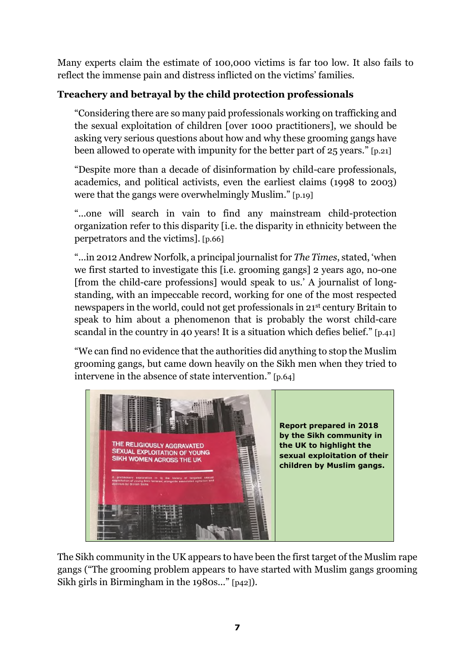Many experts claim the estimate of 100,000 victims is far too low. It also fails to reflect the immense pain and distress inflicted on the victims' families.

### **Treachery and betrayal by the child protection professionals**

"Considering there are so many paid professionals working on trafficking and the sexual exploitation of children [over 1000 practitioners], we should be asking very serious questions about how and why these grooming gangs have been allowed to operate with impunity for the better part of 25 years." [p.21]

"Despite more than a decade of disinformation by child-care professionals, academics, and political activists, even the earliest claims (1998 to 2003) were that the gangs were overwhelmingly Muslim." [p.19]

"...one will search in vain to find any mainstream child-protection organization refer to this disparity [i.e. the disparity in ethnicity between the perpetrators and the victims]. [p.66]

"...in 2012 Andrew Norfolk, a principal journalist for *The Times*, stated, 'when we first started to investigate this [i.e. grooming gangs] 2 years ago, no-one [from the child-care professions] would speak to us.' A journalist of longstanding, with an impeccable record, working for one of the most respected newspapers in the world, could not get professionals in 21st century Britain to speak to him about a phenomenon that is probably the worst child-care scandal in the country in 40 years! It is a situation which defies belief." [p.41]

"We can find no evidence that the authorities did anything to stop the Muslim grooming gangs, but came down heavily on the Sikh men when they tried to intervene in the absence of state intervention." [p.64]



The Sikh community in the UK appears to have been the first target of the Muslim rape gangs ("The grooming problem appears to have started with Muslim gangs grooming Sikh girls in Birmingham in the 1980s..." [p42]).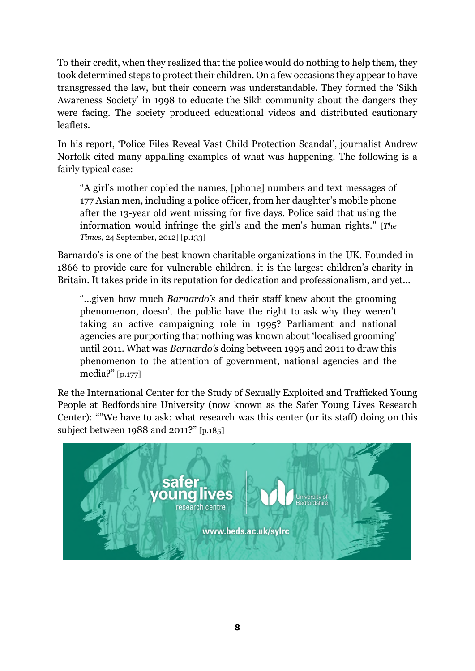To their credit, when they realized that the police would do nothing to help them, they took determined steps to protect their children. On a few occasions they appear to have transgressed the law, but their concern was understandable. They formed the 'Sikh Awareness Society' in 1998 to educate the Sikh community about the dangers they were facing. The society produced educational videos and distributed cautionary leaflets.

In his report, 'Police Files Reveal Vast Child Protection Scandal', journalist Andrew Norfolk cited many appalling examples of what was happening. The following is a fairly typical case:

"A girl's mother copied the names, [phone] numbers and text messages of 177 Asian men, including a police officer, from her daughter's mobile phone after the 13-year old went missing for five days. Police said that using the information would infringe the girl's and the men's human rights." [*The Times*, 24 September, 2012] [p.133]

Barnardo's is one of the best known charitable organizations in the UK. Founded in 1866 to provide care for vulnerable children, it is the largest children's charity in Britain. It takes pride in its reputation for dedication and professionalism, and yet...

"...given how much *Barnardo's* and their staff knew about the grooming phenomenon, doesn't the public have the right to ask why they weren't taking an active campaigning role in 1995? Parliament and national agencies are purporting that nothing was known about 'localised grooming' until 2011. What was *Barnardo's* doing between 1995 and 2011 to draw this phenomenon to the attention of government, national agencies and the media?" [p.177]

Re the International Center for the Study of Sexually Exploited and Trafficked Young People at Bedfordshire University (now known as the Safer Young Lives Research Center): ""We have to ask: what research was this center (or its staff) doing on this subject between 1988 and 2011?" [p.185]

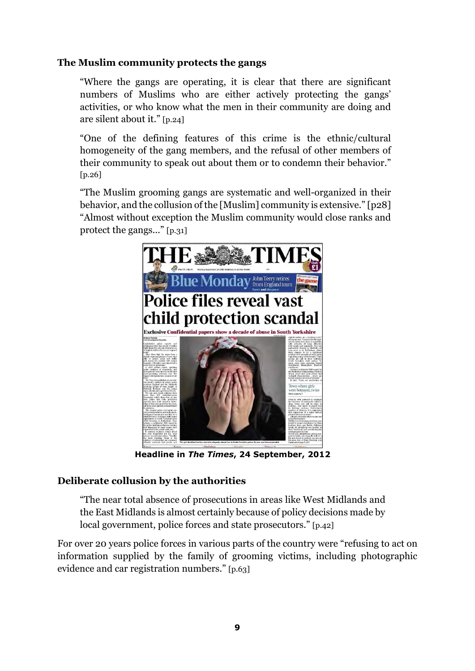#### **The Muslim community protects the gangs**

"Where the gangs are operating, it is clear that there are significant numbers of Muslims who are either actively protecting the gangs' activities, or who know what the men in their community are doing and are silent about it." [p.24]

"One of the defining features of this crime is the ethnic/cultural homogeneity of the gang members, and the refusal of other members of their community to speak out about them or to condemn their behavior." [p.26]

"The Muslim grooming gangs are systematic and well-organized in their behavior, and the collusion of the [Muslim] community is extensive." [p28] "Almost without exception the Muslim community would close ranks and protect the gangs..." [p.31]



**Headline in** *The Times***, 24 September, 2012**

#### **Deliberate collusion by the authorities**

"The near total absence of prosecutions in areas like West Midlands and the East Midlands is almost certainly because of policy decisions made by local government, police forces and state prosecutors." [p.42]

For over 20 years police forces in various parts of the country were "refusing to act on information supplied by the family of grooming victims, including photographic evidence and car registration numbers." [p.63]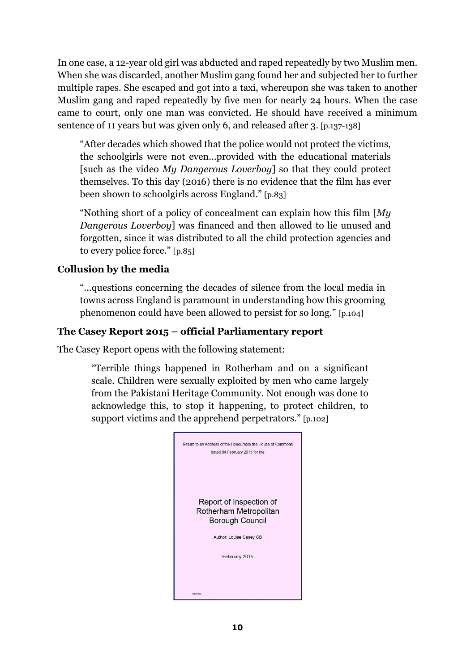In one case, a 12-year old girl was abducted and raped repeatedly by two Muslim men. When she was discarded, another Muslim gang found her and subjected her to further multiple rapes. She escaped and got into a taxi, whereupon she was taken to another Muslim gang and raped repeatedly by five men for nearly 24 hours. When the case came to court, only one man was convicted. He should have received a minimum sentence of 11 years but was given only 6, and released after 3. [p.137-138]

"After decades which showed that the police would not protect the victims, the schoolgirls were not even...provided with the educational materials [such as the video *My Dangerous Loverboy*] so that they could protect themselves. To this day (2016) there is no evidence that the film has ever been shown to schoolgirls across England." [p.83]

"Nothing short of a policy of concealment can explain how this film [*My Dangerous Loverboy*] was financed and then allowed to lie unused and forgotten, since it was distributed to all the child protection agencies and to every police force." [p.85]

#### **Collusion by the media**

"...questions concerning the decades of silence from the local media in towns across England is paramount in understanding how this grooming phenomenon could have been allowed to persist for so long." [p.104]

#### **The Casey Report 2015 – official Parliamentary report**

The Casey Report opens with the following statement:

"Terrible things happened in Rotherham and on a significant scale. Children were sexually exploited by men who came largely from the Pakistani Heritage Community. Not enough was done to acknowledge this, to stop it happening, to protect children, to support victims and the apprehend perpetrators." [p.102]

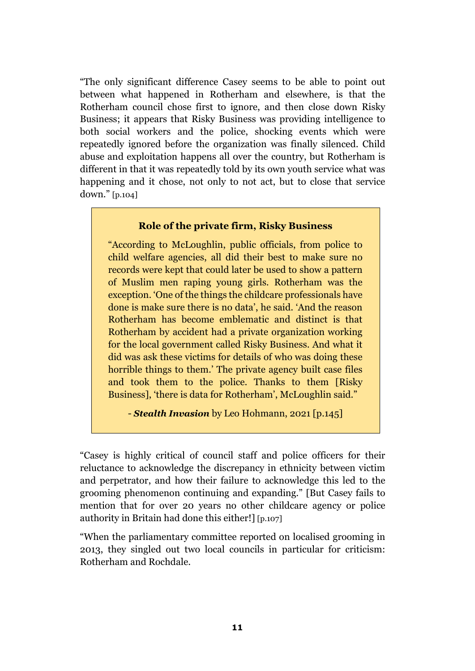"The only significant difference Casey seems to be able to point out between what happened in Rotherham and elsewhere, is that the Rotherham council chose first to ignore, and then close down Risky Business; it appears that Risky Business was providing intelligence to both social workers and the police, shocking events which were repeatedly ignored before the organization was finally silenced. Child abuse and exploitation happens all over the country, but Rotherham is different in that it was repeatedly told by its own youth service what was happening and it chose, not only to not act, but to close that service down." [p.104]

#### **Role of the private firm, Risky Business**

"According to McLoughlin, public officials, from police to child welfare agencies, all did their best to make sure no records were kept that could later be used to show a pattern of Muslim men raping young girls. Rotherham was the exception. 'One of the things the childcare professionals have done is make sure there is no data', he said. 'And the reason Rotherham has become emblematic and distinct is that Rotherham by accident had a private organization working for the local government called Risky Business. And what it did was ask these victims for details of who was doing these horrible things to them.' The private agency built case files and took them to the police. Thanks to them [Risky Business], 'there is data for Rotherham', McLoughlin said."

- *Stealth Invasion* by Leo Hohmann, 2021 [p.145]

"Casey is highly critical of council staff and police officers for their reluctance to acknowledge the discrepancy in ethnicity between victim and perpetrator, and how their failure to acknowledge this led to the grooming phenomenon continuing and expanding." [But Casey fails to mention that for over 20 years no other childcare agency or police authority in Britain had done this either!] [p.107]

"When the parliamentary committee reported on localised grooming in 2013, they singled out two local councils in particular for criticism: Rotherham and Rochdale.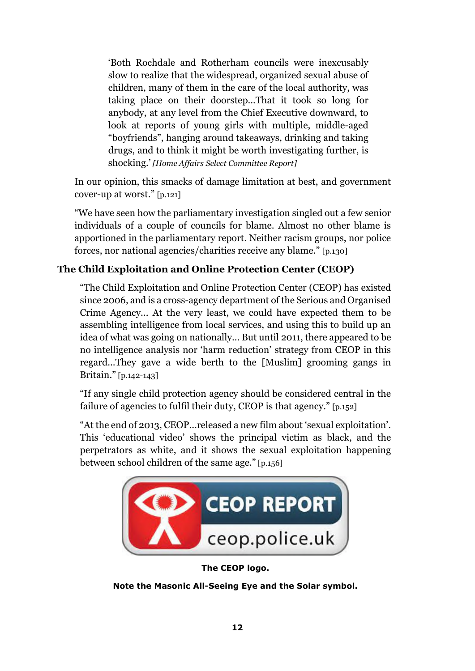'Both Rochdale and Rotherham councils were inexcusably slow to realize that the widespread, organized sexual abuse of children, many of them in the care of the local authority, was taking place on their doorstep...That it took so long for anybody, at any level from the Chief Executive downward, to look at reports of young girls with multiple, middle-aged "boyfriends", hanging around takeaways, drinking and taking drugs, and to think it might be worth investigating further, is shocking.' *[Home Affairs Select Committee Report]* 

In our opinion, this smacks of damage limitation at best, and government cover-up at worst." [p.121]

"We have seen how the parliamentary investigation singled out a few senior individuals of a couple of councils for blame. Almost no other blame is apportioned in the parliamentary report. Neither racism groups, nor police forces, nor national agencies/charities receive any blame." [p.130]

#### **The Child Exploitation and Online Protection Center (CEOP)**

"The Child Exploitation and Online Protection Center (CEOP) has existed since 2006, and is a cross-agency department of the Serious and Organised Crime Agency... At the very least, we could have expected them to be assembling intelligence from local services, and using this to build up an idea of what was going on nationally... But until 2011, there appeared to be no intelligence analysis nor 'harm reduction' strategy from CEOP in this regard...They gave a wide berth to the [Muslim] grooming gangs in Britain." [p.142-143]

"If any single child protection agency should be considered central in the failure of agencies to fulfil their duty, CEOP is that agency." [p.152]

"At the end of 2013, CEOP...released a new film about 'sexual exploitation'. This 'educational video' shows the principal victim as black, and the perpetrators as white, and it shows the sexual exploitation happening between school children of the same age." [p.156]



**The CEOP logo.** 

**Note the Masonic All-Seeing Eye and the Solar symbol.**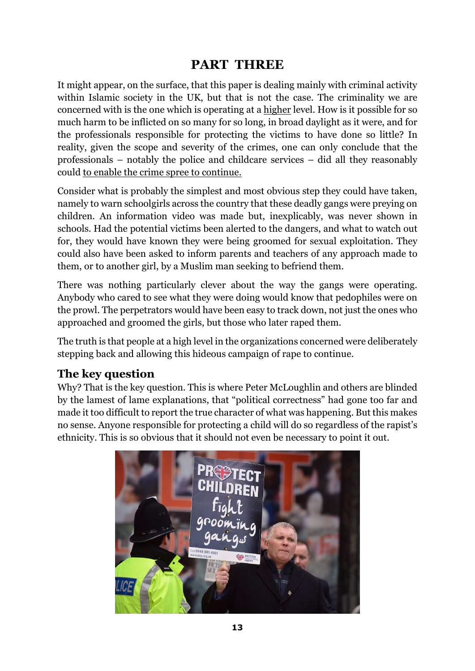## **PART THREE**

It might appear, on the surface, that this paper is dealing mainly with criminal activity within Islamic society in the UK, but that is not the case. The criminality we are concerned with is the one which is operating at a higher level. How is it possible for so much harm to be inflicted on so many for so long, in broad daylight as it were, and for the professionals responsible for protecting the victims to have done so little? In reality, given the scope and severity of the crimes, one can only conclude that the professionals – notably the police and childcare services – did all they reasonably could to enable the crime spree to continue.

Consider what is probably the simplest and most obvious step they could have taken, namely to warn schoolgirls across the country that these deadly gangs were preying on children. An information video was made but, inexplicably, was never shown in schools. Had the potential victims been alerted to the dangers, and what to watch out for, they would have known they were being groomed for sexual exploitation. They could also have been asked to inform parents and teachers of any approach made to them, or to another girl, by a Muslim man seeking to befriend them.

There was nothing particularly clever about the way the gangs were operating. Anybody who cared to see what they were doing would know that pedophiles were on the prowl. The perpetrators would have been easy to track down, not just the ones who approached and groomed the girls, but those who later raped them.

The truth is that people at a high level in the organizations concerned were deliberately stepping back and allowing this hideous campaign of rape to continue.

## **The key question**

Why? That is the key question. This is where Peter McLoughlin and others are blinded by the lamest of lame explanations, that "political correctness" had gone too far and made it too difficult to report the true character of what was happening. But this makes no sense. Anyone responsible for protecting a child will do so regardless of the rapist's ethnicity. This is so obvious that it should not even be necessary to point it out.

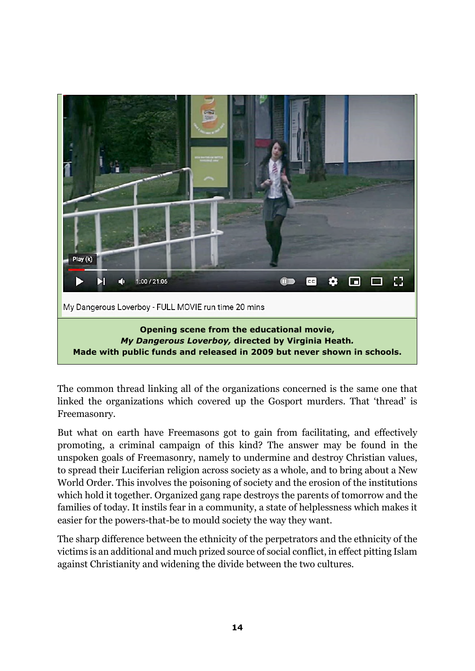

The common thread linking all of the organizations concerned is the same one that linked the organizations which covered up the Gosport murders. That 'thread' is Freemasonry.

But what on earth have Freemasons got to gain from facilitating, and effectively promoting, a criminal campaign of this kind? The answer may be found in the unspoken goals of Freemasonry, namely to undermine and destroy Christian values, to spread their Luciferian religion across society as a whole, and to bring about a New World Order. This involves the poisoning of society and the erosion of the institutions which hold it together. Organized gang rape destroys the parents of tomorrow and the families of today. It instils fear in a community, a state of helplessness which makes it easier for the powers-that-be to mould society the way they want.

The sharp difference between the ethnicity of the perpetrators and the ethnicity of the victims is an additional and much prized source of social conflict, in effect pitting Islam against Christianity and widening the divide between the two cultures.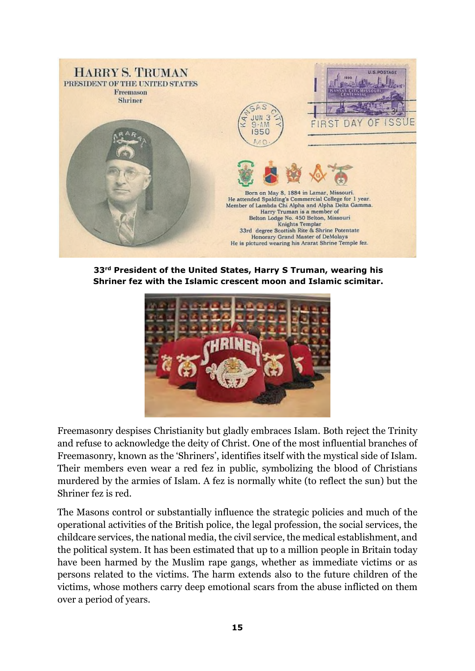

**33rd President of the United States, Harry S Truman, wearing his Shriner fez with the Islamic crescent moon and Islamic scimitar.** 



Freemasonry despises Christianity but gladly embraces Islam. Both reject the Trinity and refuse to acknowledge the deity of Christ. One of the most influential branches of Freemasonry, known as the 'Shriners', identifies itself with the mystical side of Islam. Their members even wear a red fez in public, symbolizing the blood of Christians murdered by the armies of Islam. A fez is normally white (to reflect the sun) but the Shriner fez is red.

The Masons control or substantially influence the strategic policies and much of the operational activities of the British police, the legal profession, the social services, the childcare services, the national media, the civil service, the medical establishment, and the political system. It has been estimated that up to a million people in Britain today have been harmed by the Muslim rape gangs, whether as immediate victims or as persons related to the victims. The harm extends also to the future children of the victims, whose mothers carry deep emotional scars from the abuse inflicted on them over a period of years.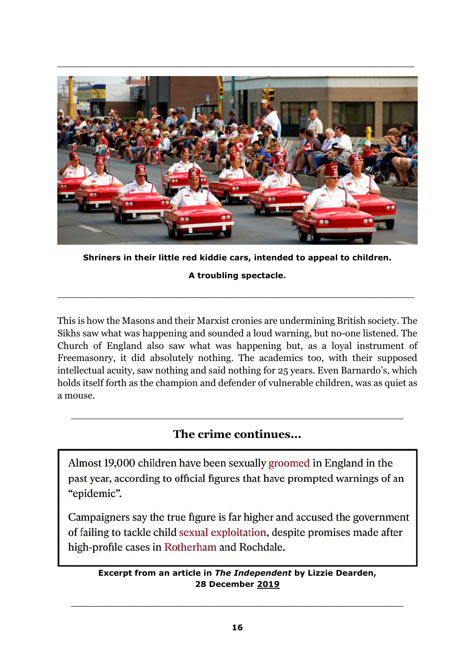

**Shriners in their little red kiddie cars, intended to appeal to children.** 

**A troubling spectacle.** 

\_\_\_\_\_\_\_\_\_\_\_\_\_\_\_\_\_\_\_\_\_\_\_\_\_\_\_\_\_\_\_\_\_\_\_\_\_\_\_\_\_\_\_\_\_\_\_\_\_\_\_\_\_\_\_\_\_\_

This is how the Masons and their Marxist cronies are undermining British society. The Sikhs saw what was happening and sounded a loud warning, but no-one listened. The Church of England also saw what was happening but, as a loyal instrument of Freemasonry, it did absolutely nothing. The academics too, with their supposed intellectual acuity, saw nothing and said nothing for 25 years. Even Barnardo's, which holds itself forth as the champion and defender of vulnerable children, was as quiet as a mouse.

## **The crime continues...**

\_\_\_\_\_\_\_\_\_\_\_\_\_\_\_\_\_\_\_\_\_\_\_\_\_\_\_\_\_\_\_\_\_\_\_\_\_\_\_\_\_\_\_\_\_\_\_\_\_\_\_\_\_\_

Almost 19,000 children have been sexually groomed in England in the past year, according to official figures that have prompted warnings of an "epidemic".

Campaigners say the true figure is far higher and accused the government of failing to tackle child sexual exploitation, despite promises made after high-profile cases in Rotherham and Rochdale.

#### **Excerpt from an article in** *The Independent* **by Lizzie Dearden, 28 December 2019**

\_\_\_\_\_\_\_\_\_\_\_\_\_\_\_\_\_\_\_\_\_\_\_\_\_\_\_\_\_\_\_\_\_\_\_\_\_\_\_\_\_\_\_\_\_\_\_\_\_\_\_\_\_\_